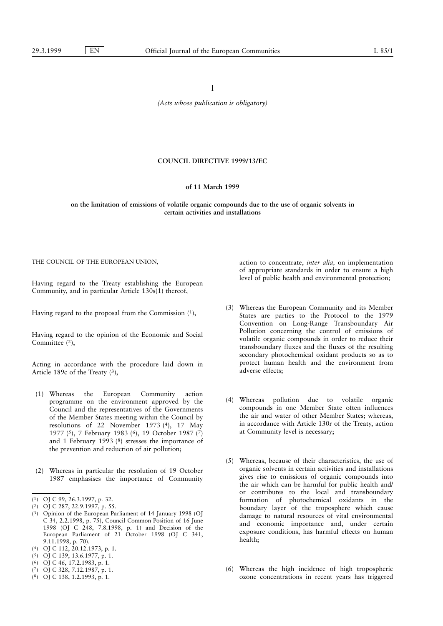I

(Acts whose publication is obligatory)

## COUNCIL DIRECTIVE 1999/13/EC

### of 11 March 1999

on the limitation of emissions of volatile organic compounds due to the use of organic solvents in certain activities and installations

THE COUNCIL OF THE EUROPEAN UNION,

Having regard to the Treaty establishing the European Community, and in particular Article 130s(1) thereof,

Having regard to the proposal from the Commission (1),

Having regard to the opinion of the Economic and Social Committee (2),

Acting in accordance with the procedure laid down in Article 189c of the Treaty (3),

- (1) Whereas the European Community action programme on the environment approved by the Council and the representatives of the Governments of the Member States meeting within the Council by resolutions of 22 November 1973 (4), 17 May 1977 (5), 7 February 1983 (6), 19 October 1987 (7) and 1 February 1993 (8) stresses the importance of the prevention and reduction of air pollution;
- (2) Whereas in particular the resolution of 19 October 1987 emphasises the importance of Community
- (1) OJ C 99, 26.3.1997, p. 32.

- (3) Opinion of the European Parliament of 14 January 1998 (OJ C 34, 2.2.1998, p. 75), Council Common Position of 16 June 1998 (OJ C 248, 7.8.1998, p. 1) and Decision of the European Parliament of 21 October 1998 (OJ C 341, 9.11.1998, p. 70).
- (4) OJ C 112, 20.12.1973, p. 1.
- (5) OJ C 139, 13.6.1977, p. 1.
- (6) OJ C 46, 17.2.1983, p. 1.
- (7) OJ C 328, 7.12.1987, p. 1.
- (8) OJ C 138, 1.2.1993, p. 1.

action to concentrate, inter alia, on implementation of appropriate standards in order to ensure a high level of public health and environmental protection;

- (3) Whereas the European Community and its Member States are parties to the Protocol to the 1979 Convention on Long-Range Transboundary Air Pollution concerning the control of emissions of volatile organic compounds in order to reduce their transboundary fluxes and the fluxes of the resulting secondary photochemical oxidant products so as to protect human health and the environment from adverse effects;
- (4) Whereas pollution due to volatile organic compounds in one Member State often influences the air and water of other Member States; whereas, in accordance with Article 130r of the Treaty, action at Community level is necessary;
- (5) Whereas, because of their characteristics, the use of organic solvents in certain activities and installations gives rise to emissions of organic compounds into the air which can be harmful for public health and/ or contributes to the local and transboundary formation of photochemical oxidants in the boundary layer of the troposphere which cause damage to natural resources of vital environmental and economic importance and, under certain exposure conditions, has harmful effects on human health;
- (6) Whereas the high incidence of high tropospheric ozone concentrations in recent years has triggered

<sup>(2)</sup> OJ C 287, 22.9.1997, p. 55.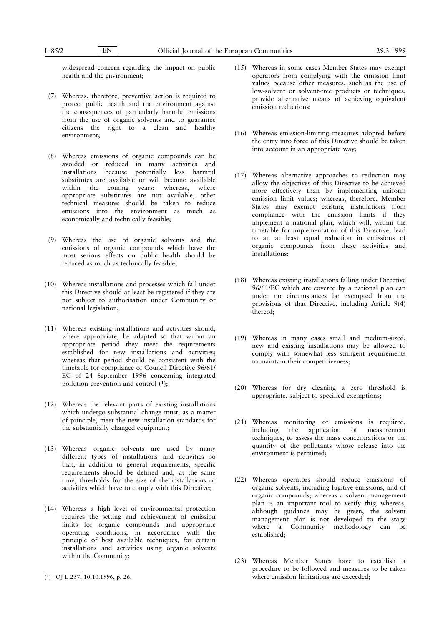widespread concern regarding the impact on public health and the environment;

- (7) Whereas, therefore, preventive action is required to protect public health and the environment against the consequences of particularly harmful emissions from the use of organic solvents and to guarantee citizens the right to a clean and healthy environment;
- (8) Whereas emissions of organic compounds can be avoided or reduced in many activities and installations because potentially less harmful substitutes are available or will become available within the coming years; whereas, where appropriate substitutes are not available, other technical measures should be taken to reduce emissions into the environment as much as economically and technically feasible;
- (9) Whereas the use of organic solvents and the emissions of organic compounds which have the most serious effects on public health should be reduced as much as technically feasible;
- (10) Whereas installations and processes which fall under this Directive should at least be registered if they are not subject to authorisation under Community or national legislation;
- (11) Whereas existing installations and activities should, where appropriate, be adapted so that within an appropriate period they meet the requirements established for new installations and activities; whereas that period should be consistent with the timetable for compliance of Council Directive 96/61/ EC of 24 September 1996 concerning integrated pollution prevention and control (1);
- (12) Whereas the relevant parts of existing installations which undergo substantial change must, as a matter of principle, meet the new installation standards for the substantially changed equipment;
- (13) Whereas organic solvents are used by many different types of installations and activities so that, in addition to general requirements, specific requirements should be defined and, at the same time, thresholds for the size of the installations or activities which have to comply with this Directive;
- (14) Whereas a high level of environmental protection requires the setting and achievement of emission limits for organic compounds and appropriate operating conditions, in accordance with the principle of best available techniques, for certain installations and activities using organic solvents within the Community;
- (15) Whereas in some cases Member States may exempt operators from complying with the emission limit values because other measures, such as the use of low-solvent or solvent-free products or techniques, provide alternative means of achieving equivalent emission reductions;
- (16) Whereas emission-limiting measures adopted before the entry into force of this Directive should be taken into account in an appropriate way;
- (17) Whereas alternative approaches to reduction may allow the objectives of this Directive to be achieved more effectively than by implementing uniform emission limit values; whereas, therefore, Member States may exempt existing installations from compliance with the emission limits if they implement a national plan, which will, within the timetable for implementation of this Directive, lead to an at least equal reduction in emissions of organic compounds from these activities and installations;
- (18) Whereas existing installations falling under Directive 96/61/EC which are covered by a national plan can under no circumstances be exempted from the provisions of that Directive, including Article 9(4) thereof;
- (19) Whereas in many cases small and medium-sized, new and existing installations may be allowed to comply with somewhat less stringent requirements to maintain their competitiveness;
- (20) Whereas for dry cleaning a zero threshold is appropriate, subject to specified exemptions;
- (21) Whereas monitoring of emissions is required, including the application of measurement techniques, to assess the mass concentrations or the quantity of the pollutants whose release into the environment is permitted;
- (22) Whereas operators should reduce emissions of organic solvents, including fugitive emissions, and of organic compounds; whereas a solvent management plan is an important tool to verify this; whereas, although guidance may be given, the solvent management plan is not developed to the stage where a Community methodology can be established;
- (23) Whereas Member States have to establish a procedure to be followed and measures to be taken (1) OJ L 257, 10.10.1996, p. 26.  $\blacksquare$  Where emission limitations are exceeded;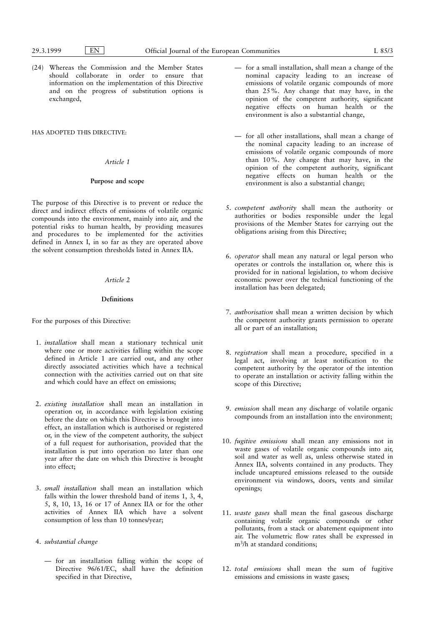(24) Whereas the Commission and the Member States should collaborate in order to ensure that information on the implementation of this Directive and on the progress of substitution options is exchanged,

## HAS ADOPTED THIS DIRECTIVE:

## Article 1

## Purpose and scope

The purpose of this Directive is to prevent or reduce the direct and indirect effects of emissions of volatile organic compounds into the environment, mainly into air, and the potential risks to human health, by providing measures and procedures to be implemented for the activities defined in Annex I, in so far as they are operated above the solvent consumption thresholds listed in Annex IIA.

## Article 2

## Definitions

For the purposes of this Directive:

- 1. installation shall mean a stationary technical unit where one or more activities falling within the scope defined in Article 1 are carried out, and any other directly associated activities which have a technical connection with the activities carried out on that site and which could have an effect on emissions;
- 2. existing installation shall mean an installation in operation or, in accordance with legislation existing before the date on which this Directive is brought into effect, an installation which is authorised or registered or, in the view of the competent authority, the subject of a full request for authorisation, provided that the installation is put into operation no later than one year after the date on which this Directive is brought into effect;
- 3. small installation shall mean an installation which falls within the lower threshold band of items 1, 3, 4, 5, 8, 10, 13, 16 or 17 of Annex IIA or for the other activities of Annex IIA which have a solvent consumption of less than 10 tonnes/year;
- 4. substantial change
	- Ð for an installation falling within the scope of Directive 96/61/EC, shall have the definition specified in that Directive,
- Ð for a small installation, shall mean a change of the nominal capacity leading to an increase of emissions of volatile organic compounds of more than 25%. Any change that may have, in the opinion of the competent authority, significant negative effects on human health or the environment is also a substantial change,
- Ð for all other installations, shall mean a change of the nominal capacity leading to an increase of emissions of volatile organic compounds of more than 10%. Any change that may have, in the opinion of the competent authority, significant negative effects on human health or the environment is also a substantial change;
- 5. competent authority shall mean the authority or authorities or bodies responsible under the legal provisions of the Member States for carrying out the obligations arising from this Directive;
- 6. operator shall mean any natural or legal person who operates or controls the installation or, where this is provided for in national legislation, to whom decisive economic power over the technical functioning of the installation has been delegated;
- 7. authorisation shall mean a written decision by which the competent authority grants permission to operate all or part of an installation;
- 8. registration shall mean a procedure, specified in a legal act, involving at least notification to the competent authority by the operator of the intention to operate an installation or activity falling within the scope of this Directive;
- 9. emission shall mean any discharge of volatile organic compounds from an installation into the environment;
- 10. fugitive emissions shall mean any emissions not in waste gases of volatile organic compounds into air, soil and water as well as, unless otherwise stated in Annex IIA, solvents contained in any products. They include uncaptured emissions released to the outside environment via windows, doors, vents and similar openings;
- 11. waste gases shall mean the final gaseous discharge containing volatile organic compounds or other pollutants, from a stack or abatement equipment into air. The volumetric flow rates shall be expressed in m3/h at standard conditions;
- 12. total emissions shall mean the sum of fugitive emissions and emissions in waste gases;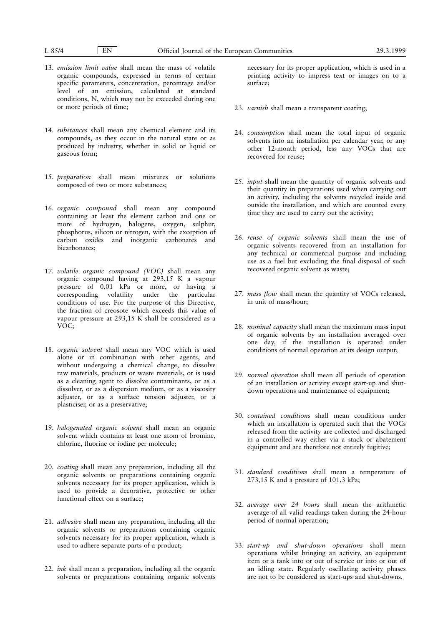- 13. emission limit value shall mean the mass of volatile organic compounds, expressed in terms of certain specific parameters, concentration, percentage and/or level of an emission, calculated at standard conditions, N, which may not be exceeded during one or more periods of time;
- 14. substances shall mean any chemical element and its compounds, as they occur in the natural state or as produced by industry, whether in solid or liquid or gaseous form;
- 15. preparation shall mean mixtures or solutions composed of two or more substances;
- 16. organic compound shall mean any compound containing at least the element carbon and one or more of hydrogen, halogens, oxygen, sulphur, phosphorus, silicon or nitrogen, with the exception of carbon oxides and inorganic carbonates and bicarbonates;
- 17. volatile organic compound (VOC) shall mean any organic compound having at 293,15 K a vapour pressure of 0,01 kPa or more, or having a corresponding volatility under the particular conditions of use. For the purpose of this Directive, the fraction of creosote which exceeds this value of vapour pressure at 293,15 K shall be considered as a VOC;
- 18. organic solvent shall mean any VOC which is used alone or in combination with other agents, and without undergoing a chemical change, to dissolve raw materials, products or waste materials, or is used as a cleaning agent to dissolve contaminants, or as a dissolver, or as a dispersion medium, or as a viscosity adjuster, or as a surface tension adjuster, or a plasticiser, or as a preservative;
- 19. halogenated organic solvent shall mean an organic solvent which contains at least one atom of bromine, chlorine, fluorine or iodine per molecule;
- 20. coating shall mean any preparation, including all the organic solvents or preparations containing organic solvents necessary for its proper application, which is used to provide a decorative, protective or other functional effect on a surface;
- 21. adhesive shall mean any preparation, including all the organic solvents or preparations containing organic solvents necessary for its proper application, which is used to adhere separate parts of a product;
- 22. ink shall mean a preparation, including all the organic solvents or preparations containing organic solvents

necessary for its proper application, which is used in a printing activity to impress text or images on to a surface;

- 23. varnish shall mean a transparent coating;
- 24. consumption shall mean the total input of organic solvents into an installation per calendar year, or any other 12-month period, less any VOCs that are recovered for reuse;
- 25. *input* shall mean the quantity of organic solvents and their quantity in preparations used when carrying out an activity, including the solvents recycled inside and outside the installation, and which are counted every time they are used to carry out the activity;
- 26. reuse of organic solvents shall mean the use of organic solvents recovered from an installation for any technical or commercial purpose and including use as a fuel but excluding the final disposal of such recovered organic solvent as waste;
- 27. mass flow shall mean the quantity of VOCs released, in unit of mass/hour;
- 28. nominal capacity shall mean the maximum mass input of organic solvents by an installation averaged over one day, if the installation is operated under conditions of normal operation at its design output;
- 29. normal operation shall mean all periods of operation of an installation or activity except start-up and shutdown operations and maintenance of equipment;
- 30. contained conditions shall mean conditions under which an installation is operated such that the VOCs released from the activity are collected and discharged in a controlled way either via a stack or abatement equipment and are therefore not entirely fugitive;
- 31. standard conditions shall mean a temperature of 273,15 K and a pressure of 101,3 kPa;
- 32. average over 24 hours shall mean the arithmetic average of all valid readings taken during the 24-hour period of normal operation;
- 33. start-up and shut-down operations shall mean operations whilst bringing an activity, an equipment item or a tank into or out of service or into or out of an idling state. Regularly oscillating activity phases are not to be considered as start-ups and shut-downs.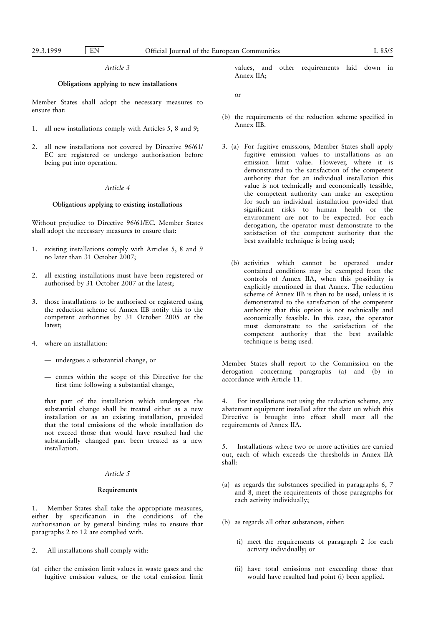### Article 3

## Obligations applying to new installations

Member States shall adopt the necessary measures to ensure that:

- 1. all new installations comply with Articles 5, 8 and 9;
- 2. all new installations not covered by Directive 96/61/ EC are registered or undergo authorisation before being put into operation.

### Article 4

## Obligations applying to existing installations

Without prejudice to Directive 96/61/EC, Member States shall adopt the necessary measures to ensure that:

- 1. existing installations comply with Articles 5, 8 and 9 no later than 31 October 2007;
- 2. all existing installations must have been registered or authorised by 31 October 2007 at the latest;
- 3. those installations to be authorised or registered using the reduction scheme of Annex IIB notify this to the competent authorities by 31 October 2005 at the latest;
- 4. where an installation:
	- $-$  undergoes a substantial change, or
	- Ð comes within the scope of this Directive for the first time following a substantial change,

that part of the installation which undergoes the substantial change shall be treated either as a new installation or as an existing installation, provided that the total emissions of the whole installation do not exceed those that would have resulted had the substantially changed part been treated as a new installation.

### Article 5

#### Requirements

1. Member States shall take the appropriate measures, either by specification in the conditions of the authorisation or by general binding rules to ensure that paragraphs 2 to 12 are complied with.

- 2. All installations shall comply with:
- (a) either the emission limit values in waste gases and the fugitive emission values, or the total emission limit

values, and other requirements laid down in Annex IIA;

or

- (b) the requirements of the reduction scheme specified in Annex IIB.
- 3. (a) For fugitive emissions, Member States shall apply fugitive emission values to installations as an emission limit value. However, where it is demonstrated to the satisfaction of the competent authority that for an individual installation this value is not technically and economically feasible, the competent authority can make an exception for such an individual installation provided that significant risks to human health or the environment are not to be expected. For each derogation, the operator must demonstrate to the satisfaction of the competent authority that the best available technique is being used;
	- (b) activities which cannot be operated under contained conditions may be exempted from the controls of Annex IIA, when this possibility is explicitly mentioned in that Annex. The reduction scheme of Annex IIB is then to be used, unless it is demonstrated to the satisfaction of the competent authority that this option is not technically and economically feasible. In this case, the operator must demonstrate to the satisfaction of the competent authority that the best available technique is being used.

Member States shall report to the Commission on the derogation concerning paragraphs (a) and (b) in accordance with Article 11.

4. For installations not using the reduction scheme, any abatement equipment installed after the date on which this Directive is brought into effect shall meet all the requirements of Annex IIA.

5. Installations where two or more activities are carried out, each of which exceeds the thresholds in Annex IIA shall:

- (a) as regards the substances specified in paragraphs 6, 7 and 8, meet the requirements of those paragraphs for each activity individually;
- (b) as regards all other substances, either:
	- (i) meet the requirements of paragraph 2 for each activity individually; or
	- (ii) have total emissions not exceeding those that would have resulted had point (i) been applied.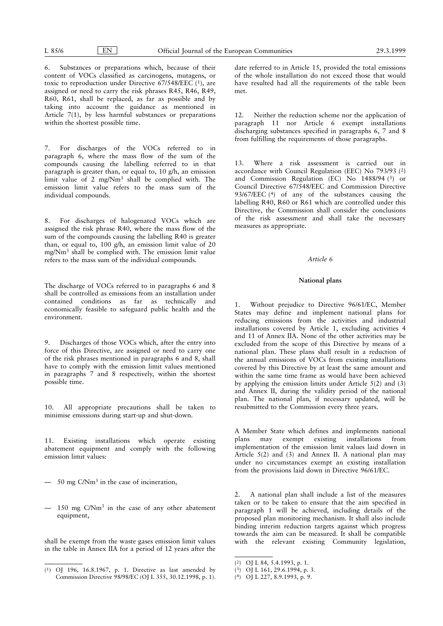6. Substances or preparations which, because of their content of VOCs classified as carcinogens, mutagens, or toxic to reproduction under Directive 67/548/EEC (1), are assigned or need to carry the risk phrases R45, R46, R49, R60, R61, shall be replaced, as far as possible and by taking into account the guidance as mentioned in Article 7(1), by less harmful substances or preparations within the shortest possible time.

7. For discharges of the VOCs referred to in paragraph 6, where the mass flow of the sum of the compounds causing the labelling referred to in that paragraph is greater than, or equal to, 10 g/h, an emission limit value of 2 mg/Nm<sup>3</sup> shall be complied with. The emission limit value refers to the mass sum of the individual compounds.

8. For discharges of halogenated VOCs which are assigned the risk phrase R40, where the mass flow of the sum of the compounds causing the labelling R40 is greater than, or equal to, 100 g/h, an emission limit value of 20 mg/Nm<sup>3</sup> shall be complied with. The emission limit value refers to the mass sum of the individual compounds.

The discharge of VOCs referred to in paragraphs 6 and 8 shall be controlled as emissions from an installation under contained conditions as far as technically and economically feasible to safeguard public health and the environment.

9. Discharges of those VOCs which, after the entry into force of this Directive, are assigned or need to carry one of the risk phrases mentioned in paragraphs 6 and 8, shall have to comply with the emission limit values mentioned in paragraphs 7 and 8 respectively, within the shortest possible time.

10. All appropriate precautions shall be taken to minimise emissions during start-up and shut-down.

11. Existing installations which operate existing abatement equipment and comply with the following emission limit values:

- $-50$  mg C/Nm<sup>3</sup> in the case of incineration,
- $-150$  mg C/Nm<sup>3</sup> in the case of any other abatement equipment,

shall be exempt from the waste gases emission limit values in the table in Annex IIA for a period of 12 years after the date referred to in Article 15, provided the total emissions of the whole installation do not exceed those that would have resulted had all the requirements of the table been met.

12. Neither the reduction scheme nor the application of paragraph 11 nor Article 6 exempt installations discharging substances specified in paragraphs 6, 7 and 8 from fulfilling the requirements of those paragraphs.

13. Where a risk assessment is carried out in accordance with Council Regulation (EEC) No 793/93 (2) and Commission Regulation (EC) No 1488/94 (3) or Council Directive 67/548/EEC and Commission Directive 93/67/EEC (4) of any of the substances causing the labelling R40, R60 or R61 which are controlled under this Directive, the Commission shall consider the conclusions of the risk assessment and shall take the necessary measures as appropriate.

## Article 6

## National plans

1. Without prejudice to Directive 96/61/EC, Member States may define and implement national plans for reducing emissions from the activities and industrial installations covered by Article 1, excluding activities 4 and 11 of Annex IIA. None of the other activities may be excluded from the scope of this Directive by means of a national plan. These plans shall result in a reduction of the annual emissions of VOCs from existing installations covered by this Directive by at least the same amount and within the same time frame as would have been achieved by applying the emission limits under Article 5(2) and (3) and Annex II, during the validity period of the national plan. The national plan, if necessary updated, will be resubmitted to the Commission every three years.

A Member State which defines and implements national<br>plans may exempt existing installations from plans may exempt existing installations from implementation of the emission limit values laid down in Article 5(2) and (3) and Annex II. A national plan may under no circumstances exempt an existing installation from the provisions laid down in Directive 96/61/EC.

2. A national plan shall include a list of the measures taken or to be taken to ensure that the aim specified in paragraph 1 will be achieved, including details of the proposed plan monitoring mechanism. It shall also include binding interim reduction targets against which progress towards the aim can be measured. It shall be compatible with the relevant existing Community legislation,

<sup>(1)</sup> OJ 196, 16.8.1967, p. 1. Directive as last amended by Commission Directive 98/98/EC (OJ L 355, 30.12.1998, p. 1).

<sup>(2)</sup> OJ L 84, 5.4.1993, p. 1.

<sup>(3)</sup> OJ L 161, 29.6.1994, p. 3.

<sup>(4)</sup> OJ L 227, 8.9.1993, p. 9.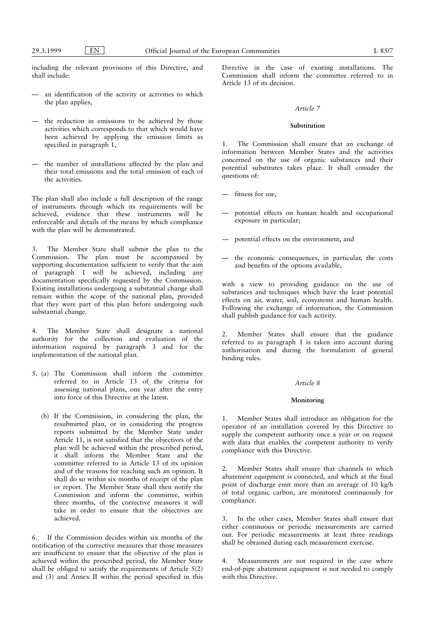including the relevant provisions of this Directive, and shall include:

- $-$  an identification of the activity or activities to which the plan applies,
- $-\$  the reduction in emissions to be achieved by those activities which corresponds to that which would have been achieved by applying the emission limits as specified in paragraph 1,
- the number of installations affected by the plan and their total emissions and the total emission of each of the activities.

The plan shall also include a full description of the range of instruments through which its requirements will be achieved, evidence that these instruments will be enforceable and details of the means by which compliance with the plan will be demonstrated.

3. The Member State shall submit the plan to the Commission. The plan must be accompanied by supporting documentation sufficient to verify that the aim of paragraph 1 will be achieved, including any documentation specifically requested by the Commission. Existing installations undergoing a substantial change shall remain within the scope of the national plan, provided that they were part of this plan before undergoing such substantial change.

4. The Member State shall designate a national authority for the collection and evaluation of the information required by paragraph 3 and for the implementation of the national plan.

- 5. (a) The Commission shall inform the committee referred to in Article 13 of the criteria for assessing national plans, one year after the entry into force of this Directive at the latest.
	- (b) If the Commission, in considering the plan, the resubmitted plan, or in considering the progress reports submitted by the Member State under Article 11, is not satisfied that the objectives of the plan will be achieved within the prescribed period, it shall inform the Member State and the committee referred to in Article 13 of its opinion and of the reasons for reaching such an opinion. It shall do so within six months of receipt of the plan or report. The Member State shall then notify the Commission and inform the committee, within three months, of the corrective measures it will take in order to ensure that the objectives are achieved.

6. If the Commission decides within six months of the notification of the corrective measures that those measures are insufficient to ensure that the objective of the plan is achieved within the prescribed period, the Member State shall be obliged to satisfy the requirements of Article 5(2) and (3) and Annex II within the period specified in this Directive in the case of existing installations. The Commission shall inform the committee referred to in Article 13 of its decision.

## Article 7

## Substitution

The Commission shall ensure that an exchange of information between Member States and the activities concerned on the use of organic substances and their potential substitutes takes place. It shall consider the questions of:

- $-$  fitness for use.
- Ð potential effects on human health and occupational exposure in particular;
- Ð potential effects on the environment, and
- the economic consequences, in particular, the costs and benefits of the options available,

with a view to providing guidance on the use of substances and techniques which have the least potential effects on air, water, soil, ecosystems and human health. Following the exchange of information, the Commission shall publish guidance for each activity.

2. Member States shall ensure that the guidance referred to in paragraph 1 is taken into account during authorisation and during the formulation of general binding rules.

#### Article 8

#### **Monitoring**

1. Member States shall introduce an obligation for the operator of an installation covered by this Directive to supply the competent authority once a year or on request with data that enables the competent authority to verify compliance with this Directive.

2. Member States shall ensure that channels to which abatement equipment is connected, and which at the final point of discharge emit more than an average of 10 kg/h of total organic carbon, are monitored continuously for compliance.

3. In the other cases, Member States shall ensure that either continuous or periodic measurements are carried out. For periodic measurements at least three readings shall be obtained during each measurement exercise.

4. Measurements are not required in the case where end-of-pipe abatement equipment is not needed to comply with this Directive.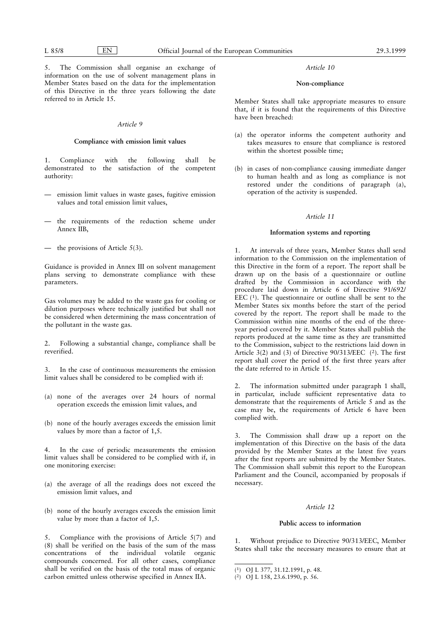5. The Commission shall organise an exchange of information on the use of solvent management plans in Member States based on the data for the implementation of this Directive in the three years following the date referred to in Article 15.

### Article 9

## Compliance with emission limit values

1. Compliance with the following shall be demonstrated to the satisfaction of the competent authority:

- $-$  emission limit values in waste gases, fugitive emission values and total emission limit values,
- the requirements of the reduction scheme under Annex IIB,
- the provisions of Article  $5(3)$ .

Guidance is provided in Annex III on solvent management plans serving to demonstrate compliance with these parameters.

Gas volumes may be added to the waste gas for cooling or dilution purposes where technically justified but shall not be considered when determining the mass concentration of the pollutant in the waste gas.

2. Following a substantial change, compliance shall be reverified.

3. In the case of continuous measurements the emission limit values shall be considered to be complied with if:

- (a) none of the averages over 24 hours of normal operation exceeds the emission limit values, and
- (b) none of the hourly averages exceeds the emission limit values by more than a factor of 1,5.

In the case of periodic measurements the emission limit values shall be considered to be complied with if, in one monitoring exercise:

- (a) the average of all the readings does not exceed the emission limit values, and
- (b) none of the hourly averages exceeds the emission limit value by more than a factor of 1,5.

Compliance with the provisions of Article  $5(7)$  and (8) shall be verified on the basis of the sum of the mass concentrations of the individual volatile organic compounds concerned. For all other cases, compliance shall be verified on the basis of the total mass of organic carbon emitted unless otherwise specified in Annex IIA.

### Article 10

### Non-compliance

Member States shall take appropriate measures to ensure that, if it is found that the requirements of this Directive have been breached:

- (a) the operator informs the competent authority and takes measures to ensure that compliance is restored within the shortest possible time;
- (b) in cases of non-compliance causing immediate danger to human health and as long as compliance is not restored under the conditions of paragraph (a), operation of the activity is suspended.

## Article 11

#### Information systems and reporting

1. At intervals of three years, Member States shall send information to the Commission on the implementation of this Directive in the form of a report. The report shall be drawn up on the basis of a questionnaire or outline drafted by the Commission in accordance with the procedure laid down in Article 6 of Directive 91/692/ EEC  $(1)$ . The questionnaire or outline shall be sent to the Member States six months before the start of the period covered by the report. The report shall be made to the Commission within nine months of the end of the threeyear period covered by it. Member States shall publish the reports produced at the same time as they are transmitted to the Commission, subject to the restrictions laid down in Article 3(2) and (3) of Directive 90/313/EEC (2). The first report shall cover the period of the first three years after the date referred to in Article 15.

2. The information submitted under paragraph 1 shall, in particular, include sufficient representative data to demonstrate that the requirements of Article 5 and as the case may be, the requirements of Article 6 have been complied with.

3. The Commission shall draw up a report on the implementation of this Directive on the basis of the data provided by the Member States at the latest five years after the first reports are submitted by the Member States. The Commission shall submit this report to the European Parliament and the Council, accompanied by proposals if necessary.

## Article 12

## Public access to information

1. Without prejudice to Directive 90/313/EEC, Member States shall take the necessary measures to ensure that at

<sup>(1)</sup> OJ L 377, 31.12.1991, p. 48.

<sup>(2)</sup> OJ L 158, 23.6.1990, p. 56.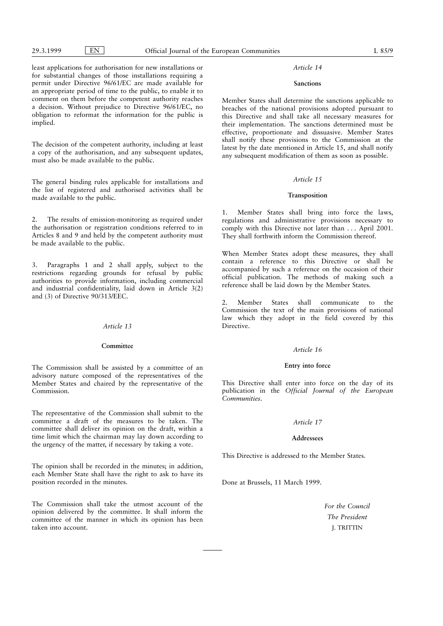least applications for authorisation for new installations or for substantial changes of those installations requiring a permit under Directive 96/61/EC are made available for an appropriate period of time to the public, to enable it to comment on them before the competent authority reaches a decision. Without prejudice to Directive 96/61/EC, no obligation to reformat the information for the public is implied.

The decision of the competent authority, including at least a copy of the authorisation, and any subsequent updates, must also be made available to the public.

The general binding rules applicable for installations and the list of registered and authorised activities shall be made available to the public.

2. The results of emission-monitoring as required under the authorisation or registration conditions referred to in Articles 8 and 9 and held by the competent authority must be made available to the public.

3. Paragraphs 1 and 2 shall apply, subject to the restrictions regarding grounds for refusal by public authorities to provide information, including commercial and industrial confidentiality, laid down in Article 3(2) and (3) of Directive 90/313/EEC.

## Article 13

## Committee

The Commission shall be assisted by a committee of an advisory nature composed of the representatives of the Member States and chaired by the representative of the Commission.

The representative of the Commission shall submit to the committee a draft of the measures to be taken. The committee shall deliver its opinion on the draft, within a time limit which the chairman may lay down according to the urgency of the matter, if necessary by taking a vote.

The opinion shall be recorded in the minutes; in addition, each Member State shall have the right to ask to have its position recorded in the minutes.

The Commission shall take the utmost account of the opinion delivered by the committee. It shall inform the committee of the manner in which its opinion has been taken into account.

## Article 14

### Sanctions

Member States shall determine the sanctions applicable to breaches of the national provisions adopted pursuant to this Directive and shall take all necessary measures for their implementation. The sanctions determined must be effective, proportionate and dissuasive. Member States shall notify these provisions to the Commission at the latest by the date mentioned in Article 15, and shall notify any subsequent modification of them as soon as possible.

## Article 15

### Transposition

Member States shall bring into force the laws, regulations and administrative provisions necessary to comply with this Directive not later than . . . April 2001. They shall forthwith inform the Commission thereof.

When Member States adopt these measures, they shall contain a reference to this Directive or shall be accompanied by such a reference on the occasion of their official publication. The methods of making such a reference shall be laid down by the Member States.

2. Member States shall communicate to the Commission the text of the main provisions of national law which they adopt in the field covered by this **Directive** 

### Article 16

### Entry into force

This Directive shall enter into force on the day of its publication in the Official Journal of the European Communities.

# Article 17

## Addressees

This Directive is addressed to the Member States.

Done at Brussels, 11 March 1999.

For the Council The President J. TRITTIN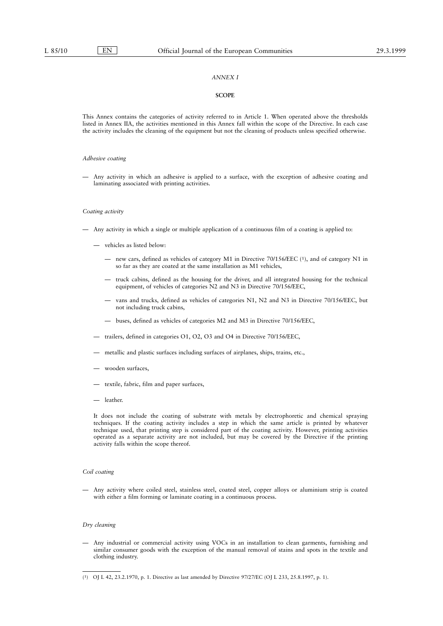# ANNEX I

#### **SCOPE**

This Annex contains the categories of activity referred to in Article 1. When operated above the thresholds listed in Annex IIA, the activities mentioned in this Annex fall within the scope of the Directive. In each case the activity includes the cleaning of the equipment but not the cleaning of products unless specified otherwise.

## Adhesive coating

Ð Any activity in which an adhesive is applied to a surface, with the exception of adhesive coating and laminating associated with printing activities.

#### Coating activity

- $\overline{\phantom{a}}$  Any activity in which a single or multiple application of a continuous film of a coating is applied to:
	- $-$  vehicles as listed below:
		- Ð new cars, defined as vehicles of category M1 in Directive 70/156/EEC (1), and of category N1 in so far as they are coated at the same installation as M1 vehicles,
		- Ð truck cabins, defined as the housing for the driver, and all integrated housing for the technical equipment, of vehicles of categories N2 and N3 in Directive 70/156/EEC,
		- vans and trucks, defined as vehicles of categories N1, N2 and N3 in Directive 70/156/EEC, but not including truck cabins,
		- Ð buses, defined as vehicles of categories M2 and M3 in Directive 70/156/EEC,
	- Ð trailers, defined in categories O1, O2, O3 and O4 in Directive 70/156/EEC,
	- $-$  metallic and plastic surfaces including surfaces of airplanes, ships, trains, etc.,
	- wooden surfaces,
	- $-$  textile, fabric, film and paper surfaces,
	- Ð leather.

It does not include the coating of substrate with metals by electrophoretic and chemical spraying techniques. If the coating activity includes a step in which the same article is printed by whatever technique used, that printing step is considered part of the coating activity. However, printing activities operated as a separate activity are not included, but may be covered by the Directive if the printing activity falls within the scope thereof.

### Coil coating

Ð Any activity where coiled steel, stainless steel, coated steel, copper alloys or aluminium strip is coated with either a film forming or laminate coating in a continuous process.

### Dry cleaning

Ð Any industrial or commercial activity using VOCs in an installation to clean garments, furnishing and similar consumer goods with the exception of the manual removal of stains and spots in the textile and clothing industry.

<sup>(1)</sup> OJ L 42, 23.2.1970, p. 1. Directive as last amended by Directive 97/27/EC (OJ L 233, 25.8.1997, p. 1).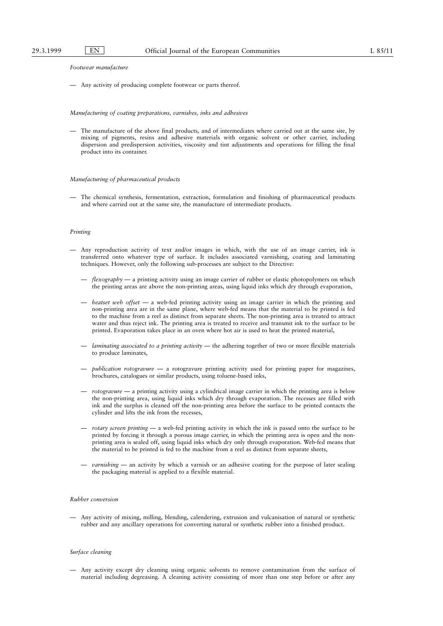#### Footwear manufacture

 $-$  Any activity of producing complete footwear or parts thereof.

#### Manufacturing of coating preparations, varnishes, inks and adhesives

Ð The manufacture of the above final products, and of intermediates where carried out at the same site, by mixing of pigments, resins and adhesive materials with organic solvent or other carrier, including dispersion and predispersion activities, viscosity and tint adjustments and operations for filling the final product into its container.

#### Manufacturing of pharmaceutical products

Ð The chemical synthesis, fermentation, extraction, formulation and finishing of pharmaceutical products and where carried out at the same site, the manufacture of intermediate products.

### Printing

- Ð Any reproduction activity of text and/or images in which, with the use of an image carrier, ink is transferred onto whatever type of surface. It includes associated varnishing, coating and laminating techniques. However, only the following sub-processes are subject to the Directive:
	- $flexography a$  printing activity using an image carrier of rubber or elastic photopolymers on which the printing areas are above the non-printing areas, using liquid inks which dry through evaporation,
	- $\overline{a}$  *heatset web offset*  $\overline{a}$  a web-fed printing activity using an image carrier in which the printing and non-printing area are in the same plane, where web-fed means that the material to be printed is fed to the machine from a reel as distinct from separate sheets. The non-printing area is treated to attract water and thus reject ink. The printing area is treated to receive and transmit ink to the surface to be printed. Evaporation takes place in an oven where hot air is used to heat the printed material,
	- $-$  laminating associated to a printing activity  $-$  the adhering together of two or more flexible materials to produce laminates,
	- $-$  publication rotogravure  $-$  a rotogravure printing activity used for printing paper for magazines, brochures, catalogues or similar products, using toluene-based inks,
	- $rotogravure$   $\rightarrow$  a printing activity using a cylindrical image carrier in which the printing area is below the non-printing area, using liquid inks which dry through evaporation. The recesses are filled with ink and the surplus is cleaned off the non-printing area before the surface to be printed contacts the cylinder and lifts the ink from the recesses,
	- rotary screen printing a web-fed printing activity in which the ink is passed onto the surface to be printed by forcing it through a porous image carrier, in which the printing area is open and the nonprinting area is sealed off, using liquid inks which dry only through evaporation. Web-fed means that the material to be printed is fed to the machine from a reel as distinct from separate sheets,
	- $varishing$   $-$  an activity by which a varnish or an adhesive coating for the purpose of later sealing the packaging material is applied to a flexible material.

#### Rubber conversion

Ð Any activity of mixing, milling, blending, calendering, extrusion and vulcanisation of natural or synthetic rubber and any ancillary operations for converting natural or synthetic rubber into a finished product.

### Surface cleaning

Ð Any activity except dry cleaning using organic solvents to remove contamination from the surface of material including degreasing. A cleaning activity consisting of more than one step before or after any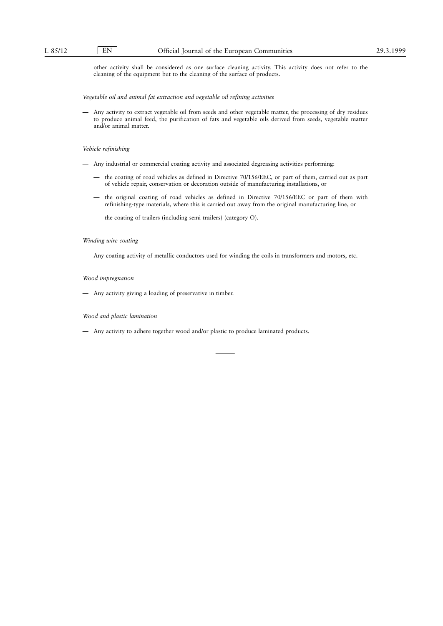other activity shall be considered as one surface cleaning activity. This activity does not refer to the cleaning of the equipment but to the cleaning of the surface of products.

Vegetable oil and animal fat extraction and vegetable oil refining activities

Ð Any activity to extract vegetable oil from seeds and other vegetable matter, the processing of dry residues to produce animal feed, the purification of fats and vegetable oils derived from seeds, vegetable matter and/or animal matter.

#### Vehicle refinishing

- $-$  Any industrial or commercial coating activity and associated degreasing activities performing:
	- Ð the coating of road vehicles as defined in Directive 70/156/EEC, or part of them, carried out as part of vehicle repair, conservation or decoration outside of manufacturing installations, or
	- Ð the original coating of road vehicles as defined in Directive 70/156/EEC or part of them with refinishing-type materials, where this is carried out away from the original manufacturing line, or
	- $-$  the coating of trailers (including semi-trailers) (category O).

## Winding wire coating

Ð Any coating activity of metallic conductors used for winding the coils in transformers and motors, etc.

#### Wood impregnation

 $-$  Any activity giving a loading of preservative in timber.

### Wood and plastic lamination

Ð Any activity to adhere together wood and/or plastic to produce laminated products.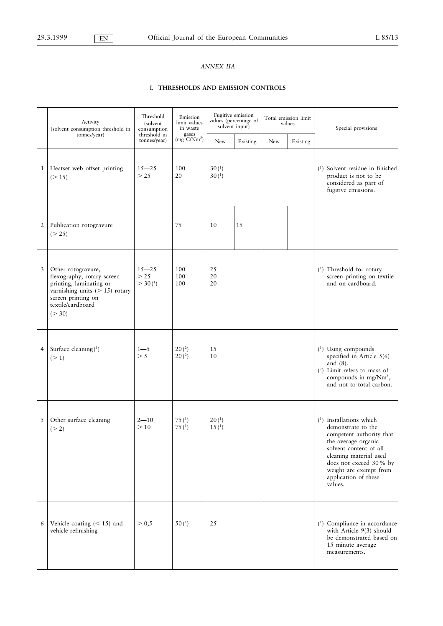# *ANNEX IIA*

# I. **THRESHOLDS AND EMISSION CONTROLS**

|              | Activity<br>(solvent consumption threshold in                                                                                                                        | Threshold<br>(solvent)<br>consumption      | Emission<br>limit values<br>in waste   |                                        | Fugitive emission<br>values (percentage of<br>solvent input) | Total emission limit<br>values |          | Special provisions                                                                                                                                                                                                                            |
|--------------|----------------------------------------------------------------------------------------------------------------------------------------------------------------------|--------------------------------------------|----------------------------------------|----------------------------------------|--------------------------------------------------------------|--------------------------------|----------|-----------------------------------------------------------------------------------------------------------------------------------------------------------------------------------------------------------------------------------------------|
|              | tonnes/year)                                                                                                                                                         | threshold in<br>tonnes/year)               | gases<br>$(mg$ $C/Nm^3)$               | New                                    | Existing                                                     | New                            | Existing |                                                                                                                                                                                                                                               |
| $\mathbf{1}$ | Heatset web offset printing<br>(> 15)                                                                                                                                | $15 - 25$<br>>25                           | 100<br>20                              | 30 <sup>(1)</sup><br>30 <sup>(1)</sup> |                                                              |                                |          | $(1)$ Solvent residue in finished<br>product is not to be<br>considered as part of<br>fugitive emissions.                                                                                                                                     |
| 2            | Publication rotogravure<br>(> 25)                                                                                                                                    |                                            | 75                                     | 10                                     | 15                                                           |                                |          |                                                                                                                                                                                                                                               |
| 3            | Other rotogravure,<br>flexography, rotary screen<br>printing, laminating or<br>varnishing units $(> 15)$ rotary<br>screen printing on<br>textile/cardboard<br>(> 30) | $15 - 25$<br>>25<br>$>$ 30( <sup>1</sup> ) | 100<br>100<br>100                      | 25<br>20<br>20                         |                                                              |                                |          | (1) Threshold for rotary<br>screen printing on textile<br>and on cardboard.                                                                                                                                                                   |
| 4            | Surface cleaning $(^1)$<br>(>1)                                                                                                                                      | $1 - 5$<br>> 5                             | 20 <sup>(2)</sup><br>20 <sup>(2)</sup> | 15<br>10                               |                                                              |                                |          | $(1)$ Using compounds<br>specified in Article $5(6)$<br>and $(8)$ .<br>$(2)$ Limit refers to mass of<br>compounds in mg/Nm <sup>3</sup> ,<br>and not to total carbon.                                                                         |
| 5            | Other surface cleaning<br>(> 2)                                                                                                                                      | $2 - 10$<br>>10                            | 75 $(1)$<br>75(1)                      | 20 <sup>(1)</sup><br>15 <sup>(1)</sup> |                                                              |                                |          | $(1)$ Installations which<br>demonstrate to the<br>competent authority that<br>the average organic<br>solvent content of all<br>cleaning material used<br>does not exceed 30% by<br>weight are exempt from<br>application of these<br>values. |
| 6            | Vehicle coating $(< 15)$ and<br>vehicle refinishing                                                                                                                  | > 0,5                                      | 50 <sup>(1)</sup>                      | 25                                     |                                                              |                                |          | <sup>(1</sup> ) Compliance in accordance<br>with Article 9(3) should<br>be demonstrated based on<br>15 minute average<br>measurements.                                                                                                        |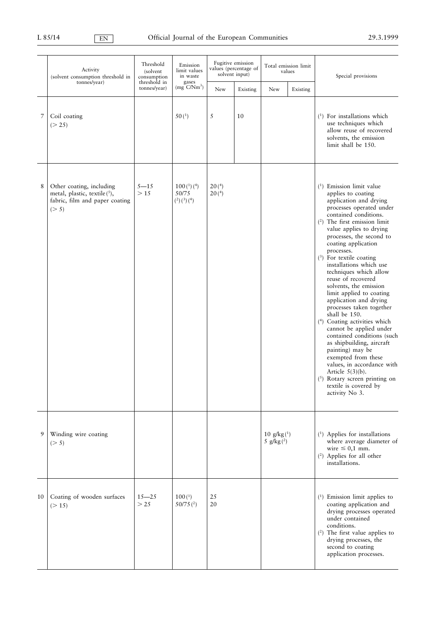|    | Activity<br>(solvent consumption threshold in                                                      | Threshold<br>(solvent)<br>consumption | Emission<br>limit values<br>in waste         |                                        | Fugitive emission<br>values (percentage of<br>solvent input) | Total emission limit<br>values |          | Special provisions                                                                                                                                                                                                                                                                                                                                                                                                                                                                                                                                                                                                                                                                                                                                                                                                 |
|----|----------------------------------------------------------------------------------------------------|---------------------------------------|----------------------------------------------|----------------------------------------|--------------------------------------------------------------|--------------------------------|----------|--------------------------------------------------------------------------------------------------------------------------------------------------------------------------------------------------------------------------------------------------------------------------------------------------------------------------------------------------------------------------------------------------------------------------------------------------------------------------------------------------------------------------------------------------------------------------------------------------------------------------------------------------------------------------------------------------------------------------------------------------------------------------------------------------------------------|
|    | tonnes/year)                                                                                       | threshold in<br>tonnes/year)          | gases<br>$(mg$ C/Nm <sup>3</sup> )           | New                                    | Existing                                                     | New                            | Existing |                                                                                                                                                                                                                                                                                                                                                                                                                                                                                                                                                                                                                                                                                                                                                                                                                    |
| 7  | Coil coating<br>(> 25)                                                                             |                                       | 50(1)                                        | 5                                      | 10                                                           |                                |          | $(1)$ For installations which<br>use techniques which<br>allow reuse of recovered<br>solvents, the emission<br>limit shall be 150.                                                                                                                                                                                                                                                                                                                                                                                                                                                                                                                                                                                                                                                                                 |
| 8  | Other coating, including<br>metal, plastic, textile(5),<br>fabric, film and paper coating<br>(> 5) | $5 - 15$<br>>15                       | 100 <sup>(1)</sup> (4)<br>50/75<br>(2)(3)(4) | 20 <sup>(4)</sup><br>20 <sup>(4)</sup> |                                                              |                                |          | $(1)$ Emission limit value<br>applies to coating<br>application and drying<br>processes operated under<br>contained conditions.<br>$(2)$ The first emission limit<br>value applies to drying<br>processes, the second to<br>coating application<br>processes.<br>$(3)$ For textile coating<br>installations which use<br>techniques which allow<br>reuse of recovered<br>solvents, the emission<br>limit applied to coating<br>application and drying<br>processes taken together<br>shall be 150.<br><sup>(4</sup> ) Coating activities which<br>cannot be applied under<br>contained conditions (such<br>as shipbuilding, aircraft<br>painting) may be<br>exempted from these<br>values, in accordance with<br>Article $5(3)(b)$ .<br>$(5)$ Rotary screen printing on<br>textile is covered by<br>activity No 3. |
| 9  | Winding wire coating<br>(> 5)                                                                      |                                       |                                              |                                        |                                                              | 10 $g/kg(1)$<br>5 $g/kg(2)$    |          | <sup>(1)</sup> Applies for installations<br>where average diameter of<br>wire $\leq 0.1$ mm.<br>$(2)$ Applies for all other<br>installations.                                                                                                                                                                                                                                                                                                                                                                                                                                                                                                                                                                                                                                                                      |
| 10 | Coating of wooden surfaces<br>(>15)                                                                | $15 - 25$<br>>25                      | 100 <sup>(1)</sup><br>$50/75$ <sup>(2)</sup> | 25<br>20                               |                                                              |                                |          | $(1)$ Emission limit applies to<br>coating application and<br>drying processes operated<br>under contained<br>conditions.<br>$(2)$ The first value applies to<br>drying processes, the<br>second to coating<br>application processes.                                                                                                                                                                                                                                                                                                                                                                                                                                                                                                                                                                              |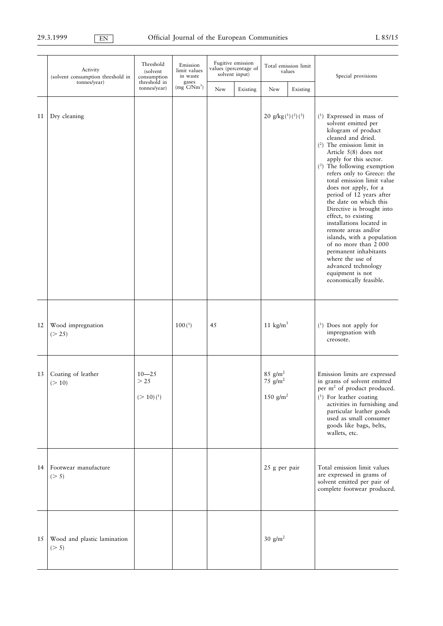|    | Activity<br>(solvent consumption threshold in | Threshold<br>(solvent<br>consumption      | Emission<br>limit values<br>in waste | Fugitive emission<br>solvent input) | values (percentage of | Total emission limit<br>values                    |          | Special provisions                                                                                                                                                                                                                                                                                                                                                                                                                                                                                                                                                                                                                            |  |
|----|-----------------------------------------------|-------------------------------------------|--------------------------------------|-------------------------------------|-----------------------|---------------------------------------------------|----------|-----------------------------------------------------------------------------------------------------------------------------------------------------------------------------------------------------------------------------------------------------------------------------------------------------------------------------------------------------------------------------------------------------------------------------------------------------------------------------------------------------------------------------------------------------------------------------------------------------------------------------------------------|--|
|    | tonnes/year)                                  | threshold in<br>tonnes/year)              | gases<br>$(mg^{\circ}C/Nm^3)$        | New                                 | Existing              | New                                               | Existing |                                                                                                                                                                                                                                                                                                                                                                                                                                                                                                                                                                                                                                               |  |
| 11 | Dry cleaning                                  |                                           |                                      |                                     |                       | 20 $g/kg(1)(2)(3)$                                |          | $(1)$ Expressed in mass of<br>solvent emitted per<br>kilogram of product<br>cleaned and dried.<br>$(2)$ The emission limit in<br>Article $5(8)$ does not<br>apply for this sector.<br>$(3)$ The following exemption<br>refers only to Greece: the<br>total emission limit value<br>does not apply, for a<br>period of 12 years after<br>the date on which this<br>Directive is brought into<br>effect, to existing<br>installations located in<br>remote areas and/or<br>islands, with a population<br>of no more than 2000<br>permanent inhabitants<br>where the use of<br>advanced technology<br>equipment is not<br>economically feasible. |  |
| 12 | Wood impregnation<br>(> 25)                   |                                           | 100 <sup>(1)</sup>                   | 45                                  |                       | 11 $\text{kg/m}^3$                                |          | $(1)$ Does not apply for<br>impregnation with<br>creosote.                                                                                                                                                                                                                                                                                                                                                                                                                                                                                                                                                                                    |  |
| 13 | Coating of leather<br>(>10)                   | $10 - 25$<br>>25<br>(>10)( <sup>1</sup> ) |                                      |                                     |                       | $85$ g/m <sup>2</sup><br>75 $g/m2$<br>150 $g/m^2$ |          | Emission limits are expressed<br>in grams of solvent emitted<br>per m <sup>2</sup> of product produced.<br>$(1)$ For leather coating<br>activities in furnishing and<br>particular leather goods<br>used as small consumer<br>goods like bags, belts,<br>wallets, etc.                                                                                                                                                                                                                                                                                                                                                                        |  |
| 14 | Footwear manufacture<br>(> 5)                 |                                           |                                      |                                     |                       | 25 g per pair                                     |          | Total emission limit values<br>are expressed in grams of<br>solvent emitted per pair of<br>complete footwear produced.                                                                                                                                                                                                                                                                                                                                                                                                                                                                                                                        |  |
| 15 | Wood and plastic lamination<br>(> 5)          |                                           |                                      |                                     |                       | $30 \text{ g/m}^2$                                |          |                                                                                                                                                                                                                                                                                                                                                                                                                                                                                                                                                                                                                                               |  |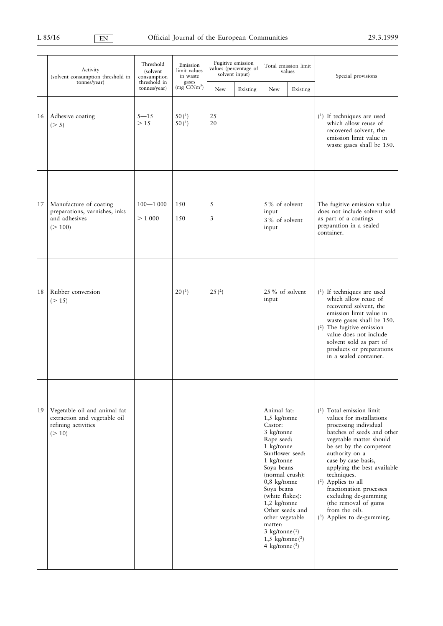|    | Activity<br>(solvent consumption threshold in                                                 | Threshold<br>(solvent)<br>consumption | Emission<br>limit values<br>in waste | Fugitive emission<br>solvent input) | values (percentage of | Total emission limit<br>values                                                                                                                                                                                                                                                                                                       |          | Special provisions                                                                                                                                                                                                                                                                                                                                                                                                       |  |
|----|-----------------------------------------------------------------------------------------------|---------------------------------------|--------------------------------------|-------------------------------------|-----------------------|--------------------------------------------------------------------------------------------------------------------------------------------------------------------------------------------------------------------------------------------------------------------------------------------------------------------------------------|----------|--------------------------------------------------------------------------------------------------------------------------------------------------------------------------------------------------------------------------------------------------------------------------------------------------------------------------------------------------------------------------------------------------------------------------|--|
|    | tonnes/year)                                                                                  | threshold in<br>tonnes/year)          | gases<br>$(mg^3C/Nm^3)$              | New                                 | Existing              | New                                                                                                                                                                                                                                                                                                                                  | Existing |                                                                                                                                                                                                                                                                                                                                                                                                                          |  |
| 16 | Adhesive coating<br>(> 5)                                                                     | $5 - 15$<br>>15                       | 50(1)<br>50 <sup>(1)</sup>           | 25<br>20                            |                       |                                                                                                                                                                                                                                                                                                                                      |          | $(1)$ If techniques are used<br>which allow reuse of<br>recovered solvent, the<br>emission limit value in<br>waste gases shall be 150.                                                                                                                                                                                                                                                                                   |  |
| 17 | Manufacture of coating<br>preparations, varnishes, inks<br>and adhesives<br>(> 100)           | $100 - 1000$<br>> 1000                | 150<br>150                           | 5<br>3                              |                       | 5% of solvent<br>input<br>3% of solvent<br>input                                                                                                                                                                                                                                                                                     |          | The fugitive emission value<br>does not include solvent sold<br>as part of a coatings<br>preparation in a sealed<br>container.                                                                                                                                                                                                                                                                                           |  |
| 18 | Rubber conversion<br>(> 15)                                                                   |                                       | 20 <sup>(1)</sup>                    | 25 <sup>(2)</sup>                   |                       | 25% of solvent<br>input                                                                                                                                                                                                                                                                                                              |          | $(1)$ If techniques are used<br>which allow reuse of<br>recovered solvent, the<br>emission limit value in<br>waste gases shall be 150.<br>$(2)$ The fugitive emission<br>value does not include<br>solvent sold as part of<br>products or preparations<br>in a sealed container.                                                                                                                                         |  |
| 19 | Vegetable oil and animal fat<br>extraction and vegetable oil<br>refining activities<br>(> 10) |                                       |                                      |                                     |                       | Animal fat:<br>1,5 kg/tonne<br>Castor:<br>3 kg/tonne<br>Rape seed:<br>1 kg/tonne<br>Sunflower seed:<br>1 kg/tonne<br>Soya beans<br>(normal crush):<br>$0,8$ kg/tonne<br>Soya beans<br>(white flakes):<br>1,2 kg/tonne<br>Other seeds and<br>other vegetable<br>matter:<br>3 kg/tonne $(1)$<br>1,5 kg/tonne $(2)$<br>4 kg/tonne $(3)$ |          | $(1)$ Total emission limit<br>values for installations<br>processing individual<br>batches of seeds and other<br>vegetable matter should<br>be set by the competent<br>authority on a<br>case-by-case basis,<br>applying the best available<br>techniques.<br>$(2)$ Applies to all<br>fractionation processes<br>excluding de-gumming<br>(the removal of gums<br>from the oil).<br><sup>(3)</sup> Applies to de-gumming. |  |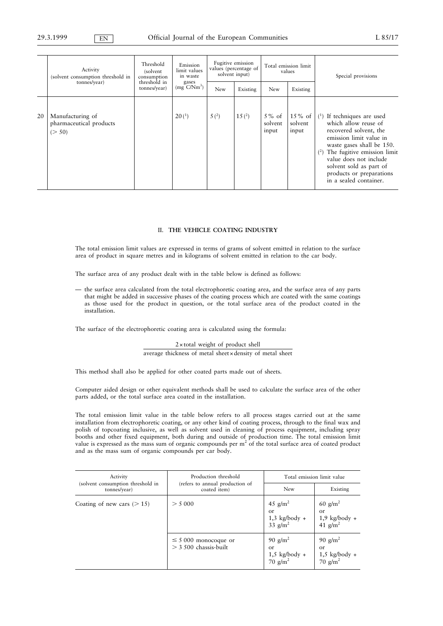|    | Activity<br>(solvent consumption threshold in<br>tonnes/year) | Threshold<br>(solvent)<br>consumption<br>threshold in | Emission<br>limit values<br>in waste<br>gases | Fugitive emission<br>values (percentage of<br>solvent input) |                   | Total emission limit<br>values |                               | Special provisions                                                                                                                                                                                                                                                                           |
|----|---------------------------------------------------------------|-------------------------------------------------------|-----------------------------------------------|--------------------------------------------------------------|-------------------|--------------------------------|-------------------------------|----------------------------------------------------------------------------------------------------------------------------------------------------------------------------------------------------------------------------------------------------------------------------------------------|
|    |                                                               | tonnes/year)                                          | $(mg$ $C/Nm^3)$                               | <b>New</b>                                                   | Existing          | New                            | Existing                      |                                                                                                                                                                                                                                                                                              |
| 20 | Manufacturing of<br>pharmaceutical products<br>(> 50)         |                                                       | 20 <sup>(1)</sup>                             | 5(2)                                                         | 15 <sup>(2)</sup> | $5\%$ of<br>solvent<br>input   | $15\%$ of<br>solvent<br>input | $(1)$ If techniques are used<br>which allow reuse of<br>recovered solvent, the<br>emission limit value in<br>waste gases shall be 150.<br>The fugitive emission limit<br>$^{(2)}$<br>value does not include<br>solvent sold as part of<br>products or preparations<br>in a sealed container. |

## II. **THE VEHICLE COATING INDUSTRY**

The total emission limit values are expressed in terms of grams of solvent emitted in relation to the surface area of product in square metres and in kilograms of solvent emitted in relation to the car body.

The surface area of any product dealt with in the table below is defined as follows:

— the surface area calculated from the total electrophoretic coating area, and the surface area of any parts that might be added in successive phases of the coating process which are coated with the same coatings as those used for the product in question, or the total surface area of the product coated in the installation.

The surface of the electrophoretic coating area is calculated using the formula:

2×total weight of product shell average thickness of metal sheet×density of metal sheet

This method shall also be applied for other coated parts made out of sheets.

Computer aided design or other equivalent methods shall be used to calculate the surface area of the other parts added, or the total surface area coated in the installation.

The total emission limit value in the table below refers to all process stages carried out at the same installation from electrophoretic coating, or any other kind of coating process, through to the final wax and polish of topcoating inclusive, as well as solvent used in cleaning of process equipment, including spray booths and other fixed equipment, both during and outside of production time. The total emission limit value is expressed as the mass sum of organic compounds per  $m<sup>2</sup>$  of the total surface area of coated product and as the mass sum of organic compounds per car body.

| Activity                                          | Production threshold                                 | Total emission limit value                                   |                                                                    |  |  |
|---------------------------------------------------|------------------------------------------------------|--------------------------------------------------------------|--------------------------------------------------------------------|--|--|
| (solvent consumption threshold in<br>tonnes/year) | (refers to annual production of<br>coated item)      | New                                                          | Existing                                                           |  |  |
| Coating of new cars $($ > 15)                     | > 5000                                               | 45 $g/m^2$<br>or<br>$1,3$ kg/body +<br>$33 \text{ g/m}^2$    | $60$ g/m <sup>2</sup><br>or<br>$1,9$ kg/body + 41 g/m <sup>2</sup> |  |  |
|                                                   | $\leq$ 5 000 monocoque or<br>$>$ 3 500 chassis-built | 90 $g/m^2$<br><sub>or</sub><br>$1,5$ kg/body +<br>70 $g/m^2$ | 90 $g/m^2$<br>or<br>$1,5$ kg/body +<br>70 $g/m^2$                  |  |  |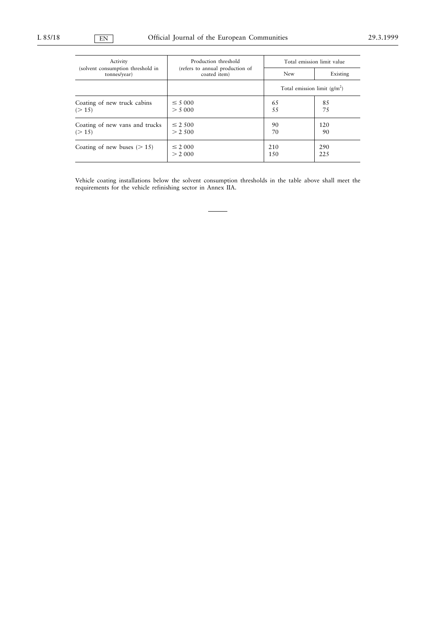| Activity                                          | Production threshold                            | Total emission limit value     |          |  |  |
|---------------------------------------------------|-------------------------------------------------|--------------------------------|----------|--|--|
| (solvent consumption threshold in<br>tonnes/year) | (refers to annual production of<br>coated item) | New                            | Existing |  |  |
|                                                   |                                                 | Total emission limit $(g/m^2)$ |          |  |  |
| Coating of new truck cabins                       | $\leq 5000$                                     | 65                             | 85       |  |  |
| (>15)                                             | > 5000                                          | 55                             | 75       |  |  |
| Coating of new vans and trucks                    | $\leq 2.500$                                    | 90                             | 120      |  |  |
| (>15)                                             | > 2.500                                         | 70                             | 90       |  |  |
| Coating of new buses $(>15)$                      | $\leq 2000$                                     | 210                            | 290      |  |  |
|                                                   | > 2,000                                         | 150                            | 225      |  |  |

Vehicle coating installations below the solvent consumption thresholds in the table above shall meet the requirements for the vehicle refinishing sector in Annex IIA.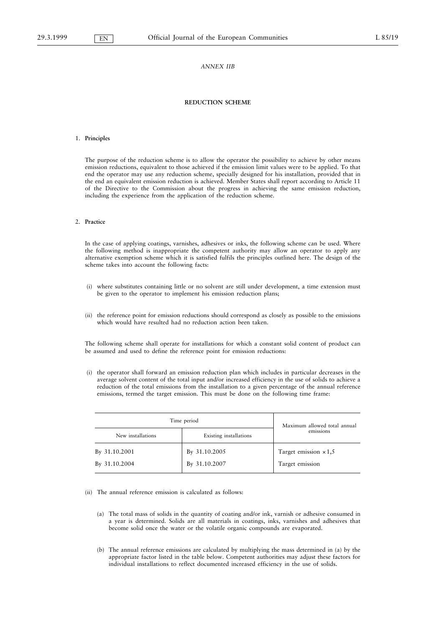### *ANNEX IIB*

## **REDUCTION SCHEME**

### 1. **Principles**

The purpose of the reduction scheme is to allow the operator the possibility to achieve by other means emission reductions, equivalent to those achieved if the emission limit values were to be applied. To that end the operator may use any reduction scheme, specially designed for his installation, provided that in the end an equivalent emission reduction is achieved. Member States shall report according to Article 11 of the Directive to the Commission about the progress in achieving the same emission reduction, including the experience from the application of the reduction scheme.

### 2. **Practice**

In the case of applying coatings, varnishes, adhesives or inks, the following scheme can be used. Where the following method is inappropriate the competent authority may allow an operator to apply any alternative exemption scheme which it is satisfied fulfils the principles outlined here. The design of the scheme takes into account the following facts:

- (i) where substitutes containing little or no solvent are still under development, a time extension must be given to the operator to implement his emission reduction plans;
- (ii) the reference point for emission reductions should correspond as closely as possible to the emissions which would have resulted had no reduction action been taken.

The following scheme shall operate for installations for which a constant solid content of product can be assumed and used to define the reference point for emission reductions:

(i) the operator shall forward an emission reduction plan which includes in particular decreases in the average solvent content of the total input and/or increased efficiency in the use of solids to achieve a reduction of the total emissions from the installation to a given percentage of the annual reference emissions, termed the target emission. This must be done on the following time frame:

| Time period       | Maximum allowed total annual |                              |  |
|-------------------|------------------------------|------------------------------|--|
| New installations | Existing installations       | emissions                    |  |
| By 31.10.2001     | By 31.10.2005                | Target emission $\times 1,5$ |  |
| By 31.10.2004     | By 31.10.2007                | Target emission              |  |

(ii) The annual reference emission is calculated as follows:

- (a) The total mass of solids in the quantity of coating and/or ink, varnish or adhesive consumed in a year is determined. Solids are all materials in coatings, inks, varnishes and adhesives that become solid once the water or the volatile organic compounds are evaporated.
- (b) The annual reference emissions are calculated by multiplying the mass determined in (a) by the appropriate factor listed in the table below. Competent authorities may adjust these factors for individual installations to reflect documented increased efficiency in the use of solids.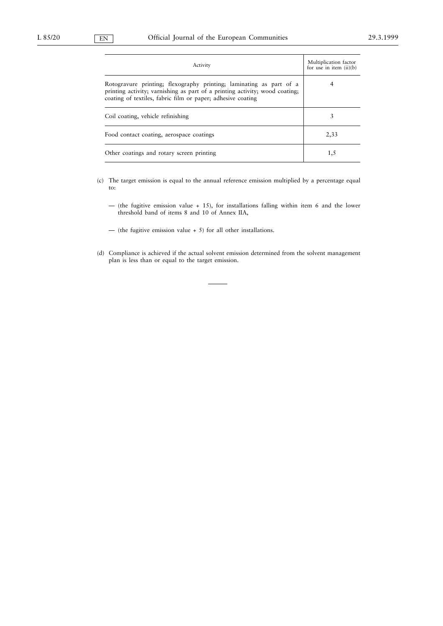| Activity                                                                                                                                                                                                          | Multiplication factor<br>for use in item $(ii)(b)$ |
|-------------------------------------------------------------------------------------------------------------------------------------------------------------------------------------------------------------------|----------------------------------------------------|
| Rotogravure printing; flexography printing; laminating as part of a<br>printing activity; varnishing as part of a printing activity; wood coating;<br>coating of textiles, fabric film or paper; adhesive coating | 4                                                  |
| Coil coating, vehicle refinishing                                                                                                                                                                                 | 3                                                  |
| Food contact coating, aerospace coatings                                                                                                                                                                          | 2,33                                               |
| Other coatings and rotary screen printing                                                                                                                                                                         | 1.5                                                |

- (c) The target emission is equal to the annual reference emission multiplied by a percentage equal to:
	- (the fugitive emission value + 15), for installations falling within item 6 and the lower threshold band of items 8 and 10 of Annex IIA,
	- (the fugitive emission value + 5) for all other installations.
- (d) Compliance is achieved if the actual solvent emission determined from the solvent management plan is less than or equal to the target emission.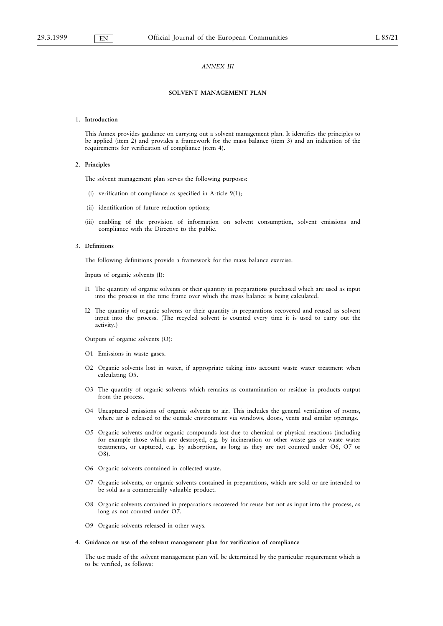### *ANNEX III*

## **SOLVENT MANAGEMENT PLAN**

### 1. **Introduction**

This Annex provides guidance on carrying out a solvent management plan. It identifies the principles to be applied (item 2) and provides a framework for the mass balance (item 3) and an indication of the requirements for verification of compliance (item 4).

### 2. **Principles**

The solvent management plan serves the following purposes:

- (i) verification of compliance as specified in Article 9(1);
- (ii) identification of future reduction options;
- (iii) enabling of the provision of information on solvent consumption, solvent emissions and compliance with the Directive to the public.

#### 3. **Definitions**

The following definitions provide a framework for the mass balance exercise.

Inputs of organic solvents (I):

- I1 The quantity of organic solvents or their quantity in preparations purchased which are used as input into the process in the time frame over which the mass balance is being calculated.
- I2 The quantity of organic solvents or their quantity in preparations recovered and reused as solvent input into the process. (The recycled solvent is counted every time it is used to carry out the activity.)

Outputs of organic solvents (O):

- O1 Emissions in waste gases.
- O2 Organic solvents lost in water, if appropriate taking into account waste water treatment when calculating O5.
- O3 The quantity of organic solvents which remains as contamination or residue in products output from the process.
- O4 Uncaptured emissions of organic solvents to air. This includes the general ventilation of rooms, where air is released to the outside environment via windows, doors, vents and similar openings.
- O5 Organic solvents and/or organic compounds lost due to chemical or physical reactions (including for example those which are destroyed, e.g. by incineration or other waste gas or waste water treatments, or captured, e.g. by adsorption, as long as they are not counted under O6, O7 or O8).
- O6 Organic solvents contained in collected waste.
- O7 Organic solvents, or organic solvents contained in preparations, which are sold or are intended to be sold as a commercially valuable product.
- O8 Organic solvents contained in preparations recovered for reuse but not as input into the process, as long as not counted under O7.
- O9 Organic solvents released in other ways.

#### 4. **Guidance on use of the solvent management plan for verification of compliance**

The use made of the solvent management plan will be determined by the particular requirement which is to be verified, as follows: